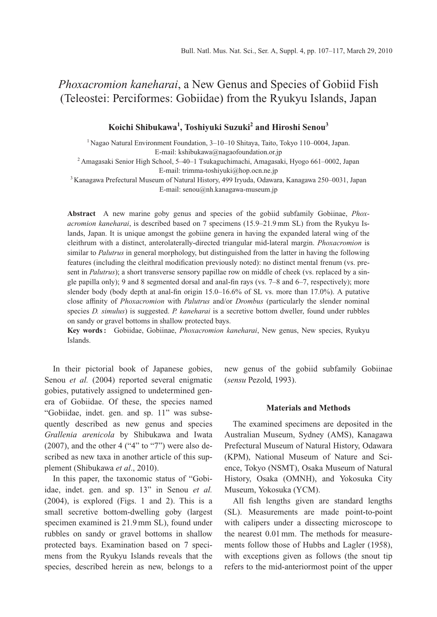# *Phoxacromion kaneharai*, a New Genus and Species of Gobiid Fish (Teleostei: Perciformes: Gobiidae) from the Ryukyu Islands, Japan

# **Koichi Shibukawa1 , Toshiyuki Suzuki<sup>2</sup> and Hiroshi Senou<sup>3</sup>**

 $1$  Nagao Natural Environment Foundation, 3–10–10 Shitaya, Taito, Tokyo 110–0004, Japan. E-mail: kshibukawa@nagaofoundation.or.jp

<sup>2</sup> Amagasaki Senior High School, 5–40–1 Tsukaguchimachi, Amagasaki, Hyogo 661–0002, Japan E-mail: trimma-toshiyuki@hop.ocn.ne.jp

<sup>3</sup> Kanagawa Prefectural Museum of Natural History, 499 Iryuda, Odawara, Kanagawa 250–0031, Japan E-mail: senou@nh.kanagawa-museum.jp

**Abstract** A new marine goby genus and species of the gobiid subfamily Gobiinae, *Phoxacromion kaneharai*, is described based on 7 specimens (15.9–21.9 mm SL) from the Ryukyu Islands, Japan. It is unique amongst the gobiine genera in having the expanded lateral wing of the cleithrum with a distinct, anterolaterally-directed triangular mid-lateral margin. *Phoxacromion* is similar to *Palutrus* in general morphology, but distinguished from the latter in having the following features (including the cleithral modification previously noted): no distinct mental frenum (vs. present in *Palutrus*); a short transverse sensory papillae row on middle of cheek (vs. replaced by a single papilla only); 9 and 8 segmented dorsal and anal-fin rays (vs. 7–8 and 6–7, respectively); more slender body (body depth at anal-fin origin 15.0–16.6% of SL vs. more than 17.0%). A putative close affinity of *Phoxacromion* with *Palutrus* and/or *Drombus* (particularly the slender nominal species *D. simulus*) is suggested. *P. kaneharai* is a secretive bottom dweller, found under rubbles on sandy or gravel bottoms in shallow protected bays.

**Key words :** Gobiidae, Gobiinae, *Phoxacromion kaneharai*, New genus, New species, Ryukyu Islands.

In their pictorial book of Japanese gobies, Senou *et al.* (2004) reported several enigmatic gobies, putatively assigned to undetermined genera of Gobiidae. Of these, the species named "Gobiidae, indet. gen. and sp. 11" was subsequently described as new genus and species *Grallenia arenicola* by Shibukawa and Iwata  $(2007)$ , and the other 4 ("4" to "7") were also described as new taxa in another article of this supplement (Shibukawa *et al*., 2010).

In this paper, the taxonomic status of "Gobiidae, indet. gen. and sp. 13" in Senou *et al.* (2004), is explored (Figs. 1 and 2). This is a small secretive bottom-dwelling goby (largest specimen examined is 21.9 mm SL), found under rubbles on sandy or gravel bottoms in shallow protected bays. Examination based on 7 specimens from the Ryukyu Islands reveals that the species, described herein as new, belongs to a new genus of the gobiid subfamily Gobiinae (*sensu* Pezold, 1993).

### **Materials and Methods**

The examined specimens are deposited in the Australian Museum, Sydney (AMS), Kanagawa Prefectural Museum of Natural History, Odawara (KPM), National Museum of Nature and Science, Tokyo (NSMT), Osaka Museum of Natural History, Osaka (OMNH), and Yokosuka City Museum, Yokosuka (YCM).

All fish lengths given are standard lengths (SL). Measurements are made point-to-point with calipers under a dissecting microscope to the nearest 0.01 mm. The methods for measurements follow those of Hubbs and Lagler (1958), with exceptions given as follows (the snout tip refers to the mid-anteriormost point of the upper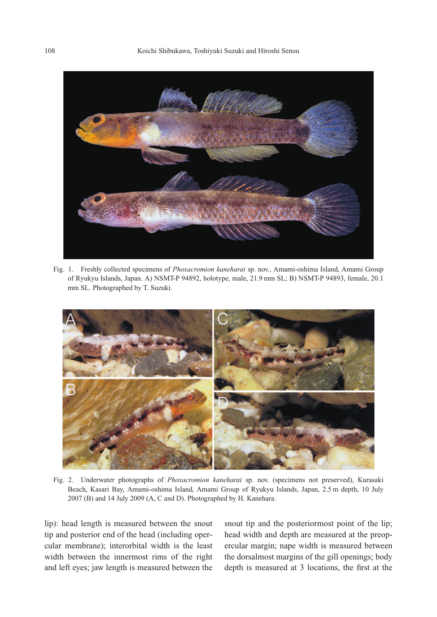108 Koichi Shibukawa, Toshiyuki Suzuki and Hiroshi Senou



Fig. 1. Freshly collected specimens of *Phoxacromion kaneharai* sp. nov., Amami-oshima Island, Amami Group of Ryukyu Islands, Japan. A) NSMT-P 94892, holotype, male, 21.9 mm SL; B) NSMT-P 94893, female, 20.1 mm SL. Photographed by T. Suzuki.



Fig. 2. Underwater photographs of *Phoxacromion kaneharai* sp. nov. (specimens not preserved), Kurasaki Beach, Kasari Bay, Amami-oshima Island, Amami Group of Ryukyu Islands, Japan, 2.5 m depth, 10 July 2007 (B) and 14 July 2009 (A, C and D). Photographed by H. Kanehara.

lip): head length is measured between the snout tip and posterior end of the head (including opercular membrane); interorbital width is the least width between the innermost rims of the right and left eyes; jaw length is measured between the

snout tip and the posteriormost point of the lip; head width and depth are measured at the preopercular margin; nape width is measured between the dorsalmost margins of the gill openings; body depth is measured at 3 locations, the first at the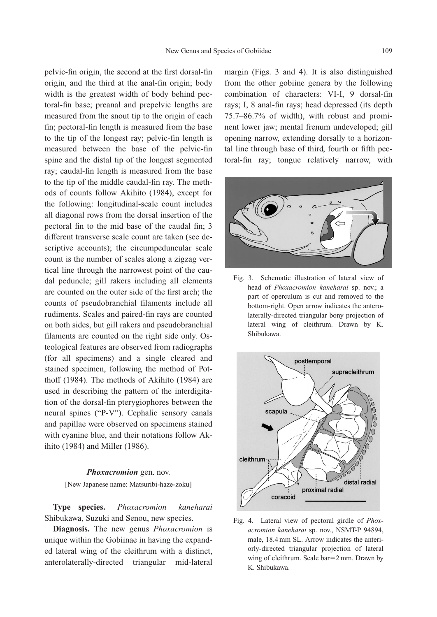pelvic-fin origin, the second at the first dorsal-fin origin, and the third at the anal-fin origin; body width is the greatest width of body behind pectoral-fin base; preanal and prepelvic lengths are measured from the snout tip to the origin of each fin; pectoral-fin length is measured from the base to the tip of the longest ray; pelvic-fin length is measured between the base of the pelvic-fin spine and the distal tip of the longest segmented ray; caudal-fin length is measured from the base to the tip of the middle caudal-fin ray. The methods of counts follow Akihito (1984), except for the following: longitudinal-scale count includes all diagonal rows from the dorsal insertion of the pectoral fin to the mid base of the caudal fin; 3 different transverse scale count are taken (see descriptive accounts); the circumpeduncular scale count is the number of scales along a zigzag vertical line through the narrowest point of the caudal peduncle; gill rakers including all elements are counted on the outer side of the first arch; the counts of pseudobranchial filaments include all rudiments. Scales and paired-fin rays are counted on both sides, but gill rakers and pseudobranchial filaments are counted on the right side only. Osteological features are observed from radiographs (for all specimens) and a single cleared and stained specimen, following the method of Potthoff (1984). The methods of Akihito (1984) are used in describing the pattern of the interdigitation of the dorsal-fin pterygiophores between the neural spines ("P-V"). Cephalic sensory canals and papillae were observed on specimens stained with cyanine blue, and their notations follow Akihito (1984) and Miller (1986).

#### *Phoxacromion* gen. nov.

[New Japanese name: Matsuribi-haze-zoku]

**Type species.** *Phoxacromion kaneharai* Shibukawa, Suzuki and Senou, new species.

**Diagnosis.** The new genus *Phoxacromion* is unique within the Gobiinae in having the expanded lateral wing of the cleithrum with a distinct, anterolaterally-directed triangular mid-lateral margin (Figs. 3 and 4). It is also distinguished from the other gobiine genera by the following combination of characters: VI-I, 9 dorsal-fin rays; I, 8 anal-fin rays; head depressed (its depth 75.7–86.7% of width), with robust and prominent lower jaw; mental frenum undeveloped; gill opening narrow, extending dorsally to a horizontal line through base of third, fourth or fifth pectoral-fin ray; tongue relatively narrow, with



Fig. 3. Schematic illustration of lateral view of head of *Phoxacromion kaneharai* sp. nov.; a part of operculum is cut and removed to the bottom-right. Open arrow indicates the anterolaterally-directed triangular bony projection of lateral wing of cleithrum. Drawn by K. Shibukawa.



Fig. 4. Lateral view of pectoral girdle of *Phoxacromion kaneharai* sp. nov., NSMT-P 94894, male, 18.4 mm SL. Arrow indicates the anteriorly-directed triangular projection of lateral wing of cleithrum. Scale bar=2 mm. Drawn by K. Shibukawa.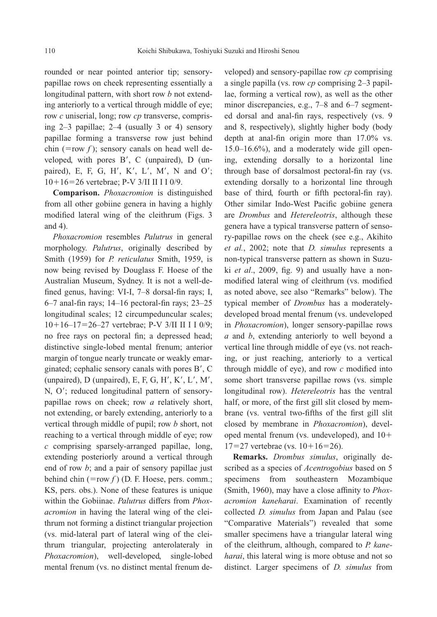rounded or near pointed anterior tip; sensorypapillae rows on cheek representing essentially a longitudinal pattern, with short row *b* not extending anteriorly to a vertical through middle of eye; row *c* uniserial, long; row *cp* transverse, comprising 2–3 papillae; 2–4 (usually 3 or 4) sensory papillae forming a transverse row just behind chin (=row  $f$ ); sensory canals on head well developed, with pores B', C (unpaired), D (unpaired), E, F, G, H', K', L', M', N and O'; 1016-26 vertebrae; P-V 3/II II I I 0/9.

**Comparison.** *Phoxacromion* is distinguished from all other gobiine genera in having a highly modified lateral wing of the cleithrum (Figs. 3 and 4).

*Phoxacromion* resembles *Palutrus* in general morphology. *Palutrus*, originally described by Smith (1959) for *P. reticulatus* Smith, 1959, is now being revised by Douglass F. Hoese of the Australian Museum, Sydney. It is not a well-defined genus, having: VI-I, 7–8 dorsal-fin rays; I, 6–7 anal-fin rays; 14–16 pectoral-fin rays; 23–25 longitudinal scales; 12 circumpeduncular scales; 1016–17-26–27 vertebrae; P-V 3/II II I I 0/9; no free rays on pectoral fin; a depressed head; distinctive single-lobed mental frenum; anterior margin of tongue nearly truncate or weakly emarginated; cephalic sensory canals with pores B', C (unpaired),  $D$  (unpaired),  $E$ ,  $F$ ,  $G$ ,  $H'$ ,  $K'$ ,  $L'$ ,  $M'$ , N, O'; reduced longitudinal pattern of sensorypapillae rows on cheek; row *a* relatively short, not extending, or barely extending, anteriorly to a vertical through middle of pupil; row *b* short, not reaching to a vertical through middle of eye; row *c* comprising sparsely-arranged papillae, long, extending posteriorly around a vertical through end of row *b*; and a pair of sensory papillae just behind chin  $(= row f)$  (D. F. Hoese, pers. comm.; KS, pers. obs.). None of these features is unique within the Gobiinae. *Palutrus* differs from *Phoxacromion* in having the lateral wing of the cleithrum not forming a distinct triangular projection (vs. mid-lateral part of lateral wing of the cleithrum triangular, projecting anterolateraly in *Phoxacromion*), well-developed, single-lobed mental frenum (vs. no distinct mental frenum developed) and sensory-papillae row *cp* comprising a single papilla (vs. row *cp* comprising 2–3 papillae, forming a vertical row), as well as the other minor discrepancies, e.g., 7–8 and 6–7 segmented dorsal and anal-fin rays, respectively (vs. 9 and 8, respectively), slightly higher body (body depth at anal-fin origin more than 17.0% vs. 15.0–16.6%), and a moderately wide gill opening, extending dorsally to a horizontal line through base of dorsalmost pectoral-fin ray (vs. extending dorsally to a horizontal line through base of third, fourth or fifth pectoral-fin ray). Other similar Indo-West Pacific gobiine genera are *Drombus* and *Hetereleotris*, although these genera have a typical transverse pattern of sensory-papillae rows on the cheek (see e.g., Akihito *et al.*, 2002; note that *D. simulus* represents a non-typical transverse pattern as shown in Suzuki *et al*., 2009, fig. 9) and usually have a nonmodified lateral wing of cleithrum (vs. modified as noted above, see also "Remarks" below). The typical member of *Drombus* has a moderatelydeveloped broad mental frenum (vs. undeveloped in *Phoxacromion*), longer sensory-papillae rows *a* and *b*, extending anteriorly to well beyond a vertical line through middle of eye (vs. not reaching, or just reaching, anteriorly to a vertical through middle of eye), and row *c* modified into some short transverse papillae rows (vs. simple longitudinal row). *Hetereleotris* has the ventral half, or more, of the first gill slit closed by membrane (vs. ventral two-fifths of the first gill slit closed by membrane in *Phoxacromion*), developed mental frenum (vs. undeveloped), and 10  $17=27$  vertebrae (vs.  $10+16=26$ ).

**Remarks.** *Drombus simulus*, originally described as a species of *Acentrogobius* based on 5 specimens from southeastern Mozambique (Smith, 1960), may have a close affinity to *Phoxacromion kaneharai*. Examination of recently collected *D. simulus* from Japan and Palau (see "Comparative Materials") revealed that some smaller specimens have a triangular lateral wing of the cleithrum, although, compared to *P. kaneharai*, this lateral wing is more obtuse and not so distinct. Larger specimens of *D. simulus* from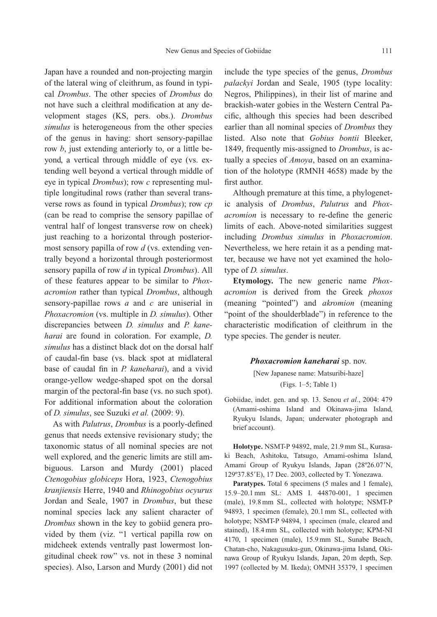Japan have a rounded and non-projecting margin of the lateral wing of cleithrum, as found in typical *Drombus*. The other species of *Drombus* do not have such a cleithral modification at any development stages (KS, pers. obs.). *Drombus simulus* is heterogeneous from the other species of the genus in having: short sensory-papillae row *b*, just extending anteriorly to, or a little beyond, a vertical through middle of eye (vs. extending well beyond a vertical through middle of eye in typical *Drombus*); row *c* representing multiple longitudinal rows (rather than several transverse rows as found in typical *Drombus*); row *cp* (can be read to comprise the sensory papillae of ventral half of longest transverse row on cheek) just reaching to a horizontal through posteriormost sensory papilla of row *d* (vs. extending ventrally beyond a horizontal through posteriormost sensory papilla of row *d* in typical *Drombus*). All of these features appear to be similar to *Phoxacromion* rather than typical *Drombus*, although sensory-papillae rows *a* and *c* are uniserial in *Phoxacromion* (vs. multiple in *D. simulus*). Other discrepancies between *D. simulus* and *P. kaneharai* are found in coloration. For example, *D. simulus* has a distinct black dot on the dorsal half of caudal-fin base (vs. black spot at midlateral base of caudal fin in *P. kaneharai*), and a vivid orange-yellow wedge-shaped spot on the dorsal margin of the pectoral-fin base (vs. no such spot). For additional information about the coloration of *D. simulus*, see Suzuki *et al.* (2009: 9).

As with *Palutrus*, *Drombus* is a poorly-defined genus that needs extensive revisionary study; the taxonomic status of all nominal species are not well explored, and the generic limits are still ambiguous. Larson and Murdy (2001) placed *Ctenogobius globiceps* Hora, 1923, *Ctenogobius kranjiensis* Herre, 1940 and *Rhinogobius ocyurus* Jordan and Seale, 1907 in *Drombus*, but these nominal species lack any salient character of *Drombus* shown in the key to gobiid genera provided by them (viz. "1 vertical papilla row on midcheek extends ventrally past lowermost longitudinal cheek row" vs. not in these 3 nominal species). Also, Larson and Murdy (2001) did not include the type species of the genus, *Drombus palackyi* Jordan and Seale, 1905 (type locality: Negros, Philippines), in their list of marine and brackish-water gobies in the Western Central Pacific, although this species had been described earlier than all nominal species of *Drombus* they listed. Also note that *Gobius bontii* Bleeker, 1849, frequently mis-assigned to *Drombus*, is actually a species of *Amoya*, based on an examination of the holotype (RMNH 4658) made by the first author.

Although premature at this time, a phylogenetic analysis of *Drombus*, *Palutrus* and *Phoxacromion* is necessary to re-define the generic limits of each. Above-noted similarities suggest including *Drombus simulus* in *Phoxacromion*. Nevertheless, we here retain it as a pending matter, because we have not yet examined the holotype of *D. simulus*.

**Etymology.** The new generic name *Phoxacromion* is derived from the Greek *phoxos* (meaning "pointed") and *akromion* (meaning "point of the shoulderblade") in reference to the characteristic modification of cleithrum in the type species. The gender is neuter.

#### *Phoxacromion kaneharai* sp. nov.

[New Japanese name: Matsuribi-haze] (Figs. 1–5; Table 1)

Gobiidae, indet. gen. and sp. 13. Senou *et al.*, 2004: 479 (Amami-oshima Island and Okinawa-jima Island, Ryukyu Islands, Japan; underwater photograph and brief account).

**Holotype.** NSMT-P 94892, male, 21.9 mm SL, Kurasaki Beach, Ashitoku, Tatsugo, Amami-oshima Island, Amami Group of Ryukyu Islands, Japan (28°26.07'N, 129º37.85E), 17 Dec. 2003, collected by T. Yonezawa.

Paratypes. Total 6 specimens (5 males and 1 female), 15.9–20.1 mm SL: AMS I. 44870-001, 1 specimen (male), 19.8 mm SL, collected with holotype; NSMT-P 94893, 1 specimen (female), 20.1 mm SL, collected with holotype; NSMT-P 94894, 1 specimen (male, cleared and stained), 18.4 mm SL, collected with holotype; KPM-NI 4170, 1 specimen (male), 15.9 mm SL, Sunabe Beach, Chatan-cho, Nakagusuku-gun, Okinawa-jima Island, Okinawa Group of Ryukyu Islands, Japan, 20 m depth, Sep. 1997 (collected by M. Ikeda); OMNH 35379, 1 specimen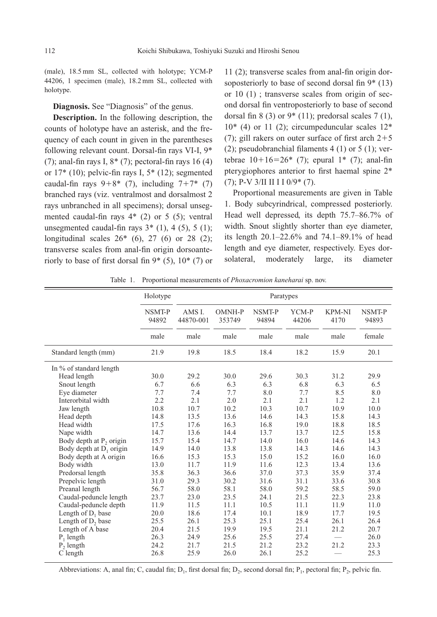(male), 18.5 mm SL, collected with holotype; YCM-P 44206, 1 specimen (male), 18.2 mm SL, collected with holotype.

**Diagnosis.** See "Diagnosis" of the genus.

**Description.** In the following description, the counts of holotype have an asterisk, and the frequency of each count in given in the parentheses following relevant count. Dorsal-fin rays VI-I, 9\* (7); anal-fin rays I,  $8*(7)$ ; pectoral-fin rays 16 (4) or  $17*(10)$ ; pelvic-fin rays I,  $5*(12)$ ; segmented caudal-fin rays  $9+8*$  (7), including  $7+7*$  (7) branched rays (viz. ventralmost and dorsalmost 2 rays unbranched in all specimens); dorsal unsegmented caudal-fin rays 4\* (2) or 5 (5); ventral unsegmented caudal-fin rays  $3*(1)$ , 4 (5), 5 (1); longitudinal scales 26\* (6), 27 (6) or 28 (2); transverse scales from anal-fin origin dorsoanteriorly to base of first dorsal fin  $9*(5)$ ,  $10*(7)$  or

11 (2); transverse scales from anal-fin origin dorsoposteriorly to base of second dorsal fin 9\* (13) or 10 (1) ; transverse scales from origin of second dorsal fin ventroposteriorly to base of second dorsal fin 8 (3) or  $9*(11)$ ; predorsal scales 7 (1),  $10<sup>*</sup>$  (4) or 11 (2); circumpeduncular scales  $12<sup>*</sup>$ (7); gill rakers on outer surface of first arch  $2+5$ (2); pseudobranchial filaments  $4(1)$  or  $5(1)$ ; vertebrae  $10+16=26$ \* (7); epural  $1$ \* (7); anal-fin pterygiophores anterior to first haemal spine 2\* (7); P-V 3/II II I I 0/9\* (7).

Proportional measurements are given in Table 1. Body subcyrindrical, compressed posteriorly. Head well depressed, its depth 75.7–86.7% of width. Snout slightly shorter than eye diameter, its length 20.1–22.6% and 74.1–89.1% of head length and eye diameter, respectively. Eyes dorsolateral, moderately large, its diameter

| Table 1. Proportional measurements of <i>Phoxacromion kaneharai</i> sp. nov. |
|------------------------------------------------------------------------------|
|------------------------------------------------------------------------------|

|                                     | Holotype        | Paratypes           |                  |                 |                |                       |                 |
|-------------------------------------|-----------------|---------------------|------------------|-----------------|----------------|-----------------------|-----------------|
|                                     | NSMT-P<br>94892 | AMS I.<br>44870-001 | OMNH-P<br>353749 | NSMT-P<br>94894 | YCM-P<br>44206 | <b>KPM-NI</b><br>4170 | NSMT-P<br>94893 |
|                                     | male            | male                | male             | male            | male           | male                  | female          |
| Standard length (mm)                | 21.9            | 19.8                | 18.5             | 18.4            | 18.2           | 15.9                  | 20.1            |
| In % of standard length             |                 |                     |                  |                 |                |                       |                 |
| Head length                         | 30.0            | 29.2                | 30.0             | 29.6            | 30.3           | 31.2                  | 29.9            |
| Snout length                        | 6.7             | 6.6                 | 6.3              | 6.3             | 6.8            | 6.3                   | 6.5             |
| Eye diameter                        | 7.7             | 7.4                 | 7.7              | 8.0             | 7.7            | 8.5                   | 8.0             |
| Interorbital width                  | 2.2             | 2.1                 | 2.0              | 2.1             | 2.1            | 1.2                   | 2.1             |
| Jaw length                          | 10.8            | 10.7                | 10.2             | 10.3            | 10.7           | 10.9                  | 10.0            |
| Head depth                          | 14.8            | 13.5                | 13.6             | 14.6            | 14.3           | 15.8                  | 14.3            |
| Head width                          | 17.5            | 17.6                | 16.3             | 16.8            | 19.0           | 18.8                  | 18.5            |
| Nape width                          | 14.7            | 13.6                | 14.4             | 13.7            | 13.7           | 12.5                  | 15.8            |
| Body depth at P <sub>2</sub> origin | 15.7            | 15.4                | 14.7             | 14.0            | 16.0           | 14.6                  | 14.3            |
| Body depth at $D_1$ origin          | 14.9            | 14.0                | 13.8             | 13.8            | 14.3           | 14.6                  | 14.3            |
| Body depth at A origin              | 16.6            | 15.3                | 15.3             | 15.0            | 15.2           | 16.0                  | 16.0            |
| Body width                          | 13.0            | 11.7                | 11.9             | 11.6            | 12.3           | 13.4                  | 13.6            |
| Predorsal length                    | 35.8            | 36.3                | 36.6             | 37.0            | 37.3           | 35.9                  | 37.4            |
| Prepelvic length                    | 31.0            | 29.3                | 30.2             | 31.6            | 31.1           | 33.6                  | 30.8            |
| Preanal length                      | 56.7            | 58.0                | 58.1             | 58.0            | 59.2           | 58.5                  | 59.0            |
| Caudal-peduncle length              | 23.7            | 23.0                | 23.5             | 24.1            | 21.5           | 22.3                  | 23.8            |
| Caudal-peduncle depth               | 11.9            | 11.5                | 11.1             | 10.5            | 11.1           | 11.9                  | 11.0            |
| Length of $D_1$ base                | 20.0            | 18.6                | 17.4             | 10.1            | 18.9           | 17.7                  | 19.5            |
| Length of D <sub>2</sub> base       | 25.5            | 26.1                | 25.3             | 25.1            | 25.4           | 26.1                  | 26.4            |
| Length of A base                    | 20.4            | 21.5                | 19.9             | 19.5            | 21.1           | 21.2                  | 20.7            |
| $P_1$ length                        | 26.3            | 24.9                | 25.6             | 25.5            | 27.4           |                       | 26.0            |
| $P_2$ length                        | 24.2            | 21.7                | 21.5             | 21.2            | 23.2           | 21.2                  | 23.3            |
| C length                            | 26.8            | 25.9                | 26.0             | 26.1            | 25.2           |                       | 25.3            |

Abbreviations: A, anal fin; C, caudal fin; D<sub>1</sub>, first dorsal fin; D<sub>2</sub>, second dorsal fin; P<sub>1</sub>, pectoral fin; P<sub>2</sub>, pelvic fin.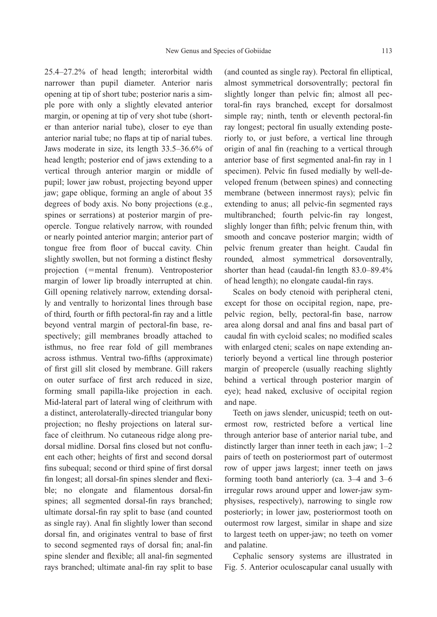25.4–27.2% of head length; interorbital width narrower than pupil diameter. Anterior naris opening at tip of short tube; posterior naris a simple pore with only a slightly elevated anterior margin, or opening at tip of very shot tube (shorter than anterior narial tube), closer to eye than anterior narial tube; no flaps at tip of narial tubes. Jaws moderate in size, its length 33.5–36.6% of head length; posterior end of jaws extending to a vertical through anterior margin or middle of pupil; lower jaw robust, projecting beyond upper jaw; gape oblique, forming an angle of about 35 degrees of body axis. No bony projections (e.g., spines or serrations) at posterior margin of preopercle. Tongue relatively narrow, with rounded or nearly pointed anterior margin; anterior part of tongue free from floor of buccal cavity. Chin slightly swollen, but not forming a distinct fleshy projection (=mental frenum). Ventroposterior margin of lower lip broadly interrupted at chin. Gill opening relatively narrow, extending dorsally and ventrally to horizontal lines through base of third, fourth or fifth pectoral-fin ray and a little beyond ventral margin of pectoral-fin base, respectively; gill membranes broadly attached to isthmus, no free rear fold of gill membranes across isthmus. Ventral two-fifths (approximate) of first gill slit closed by membrane. Gill rakers on outer surface of first arch reduced in size, forming small papilla-like projection in each. Mid-lateral part of lateral wing of cleithrum with a distinct, anterolaterally-directed triangular bony projection; no fleshy projections on lateral surface of cleithrum. No cutaneous ridge along predorsal midline. Dorsal fins closed but not confluent each other; heights of first and second dorsal fins subequal; second or third spine of first dorsal fin longest; all dorsal-fin spines slender and flexible; no elongate and filamentous dorsal-fin spines; all segmented dorsal-fin rays branched; ultimate dorsal-fin ray split to base (and counted as single ray). Anal fin slightly lower than second dorsal fin, and originates ventral to base of first to second segmented rays of dorsal fin; anal-fin spine slender and flexible; all anal-fin segmented rays branched; ultimate anal-fin ray split to base (and counted as single ray). Pectoral fin elliptical, almost symmetrical dorsoventrally; pectoral fin slightly longer than pelvic fin; almost all pectoral-fin rays branched, except for dorsalmost simple ray; ninth, tenth or eleventh pectoral-fin ray longest; pectoral fin usually extending posteriorly to, or just before, a vertical line through origin of anal fin (reaching to a vertical through anterior base of first segmented anal-fin ray in 1 specimen). Pelvic fin fused medially by well-developed frenum (between spines) and connecting membrane (between innermost rays); pelvic fin extending to anus; all pelvic-fin segmented rays multibranched; fourth pelvic-fin ray longest, slighly longer than fifth; pelvic frenum thin, with smooth and concave posterior margin; width of pelvic frenum greater than height. Caudal fin rounded, almost symmetrical dorsoventrally, shorter than head (caudal-fin length 83.0–89.4% of head length); no elongate caudal-fin rays.

Scales on body ctenoid with peripheral cteni, except for those on occipital region, nape, prepelvic region, belly, pectoral-fin base, narrow area along dorsal and anal fins and basal part of caudal fin with cycloid scales; no modified scales with enlarged cteni; scales on nape extending anteriorly beyond a vertical line through posterior margin of preopercle (usually reaching slightly behind a vertical through posterior margin of eye); head naked, exclusive of occipital region and nape.

Teeth on jaws slender, unicuspid; teeth on outermost row, restricted before a vertical line through anterior base of anterior narial tube, and distinctly larger than inner teeth in each jaw; 1–2 pairs of teeth on posteriormost part of outermost row of upper jaws largest; inner teeth on jaws forming tooth band anteriorly (ca. 3–4 and 3–6 irregular rows around upper and lower-jaw symphysises, respectively), narrowing to single row posteriorly; in lower jaw, posteriormost tooth on outermost row largest, similar in shape and size to largest teeth on upper-jaw; no teeth on vomer and palatine.

Cephalic sensory systems are illustrated in Fig. 5. Anterior oculoscapular canal usually with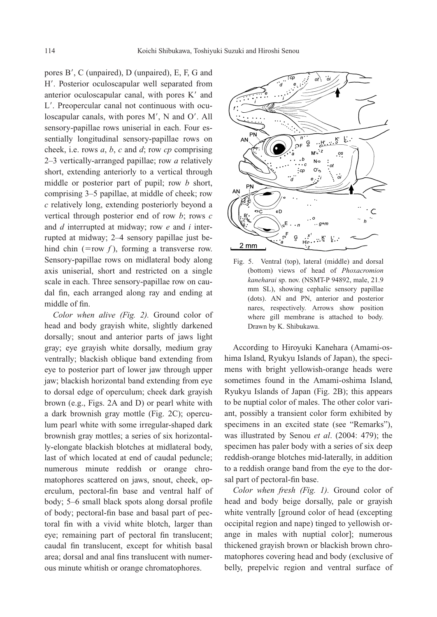pores B', C (unpaired), D (unpaired), E, F, G and H. Posterior oculoscapular well separated from anterior oculoscapular canal, with pores K' and L. Preopercular canal not continuous with oculoscapular canals, with pores M', N and O'. All sensory-papillae rows uniserial in each. Four essentially longitudinal sensory-papillae rows on cheek, i.e. rows *a*, *b*, *c* and *d*; row *cp* comprising 2–3 vertically-arranged papillae; row *a* relatively short, extending anteriorly to a vertical through middle or posterior part of pupil; row *b* short, comprising 3–5 papillae, at middle of cheek; row *c* relatively long, extending posteriorly beyond a vertical through posterior end of row *b*; rows *c* and *d* interrupted at midway; row *e* and *i* interrupted at midway; 2–4 sensory papillae just behind chin (=row  $f$ ), forming a transverse row. Sensory-papillae rows on midlateral body along axis uniserial, short and restricted on a single scale in each. Three sensory-papillae row on caudal fin, each arranged along ray and ending at middle of fin.

*Color when alive (Fig. 2).* Ground color of head and body grayish white, slightly darkened dorsally; snout and anterior parts of jaws light gray; eye grayish white dorsally, medium gray ventrally; blackish oblique band extending from eye to posterior part of lower jaw through upper jaw; blackish horizontal band extending from eye to dorsal edge of operculum; cheek dark grayish brown (e.g., Figs. 2A and D) or pearl white with a dark brownish gray mottle (Fig. 2C); operculum pearl white with some irregular-shaped dark brownish gray mottles; a series of six horizontally-elongate blackish blotches at midlateral body, last of which located at end of caudal peduncle; numerous minute reddish or orange chromatophores scattered on jaws, snout, cheek, operculum, pectoral-fin base and ventral half of body; 5–6 small black spots along dorsal profile of body; pectoral-fin base and basal part of pectoral fin with a vivid white blotch, larger than eye; remaining part of pectoral fin translucent; caudal fin translucent, except for whitish basal area; dorsal and anal fins translucent with numerous minute whitish or orange chromatophores.



Fig. 5. Ventral (top), lateral (middle) and dorsal (bottom) views of head of *Phoxacromion kaneharai* sp. nov. (NSMT-P 94892, male, 21.9 mm SL), showing cephalic sensory papillae (dots). AN and PN, anterior and posterior nares, respectively. Arrows show position where gill membrane is attached to body. Drawn by K. Shibukawa.

According to Hiroyuki Kanehara (Amami-oshima Island, Ryukyu Islands of Japan), the specimens with bright yellowish-orange heads were sometimes found in the Amami-oshima Island, Ryukyu Islands of Japan (Fig. 2B); this appears to be nuptial color of males. The other color variant, possibly a transient color form exhibited by specimens in an excited state (see "Remarks"), was illustrated by Senou *et al*. (2004: 479); the specimen has paler body with a series of six deep reddish-orange blotches mid-laterally, in addition to a reddish orange band from the eye to the dorsal part of pectoral-fin base.

*Color when fresh (Fig. 1).* Ground color of head and body beige dorsally, pale or grayish white ventrally [ground color of head (excepting occipital region and nape) tinged to yellowish orange in males with nuptial color]; numerous thickened grayish brown or blackish brown chromatophores covering head and body (exclusive of belly, prepelvic region and ventral surface of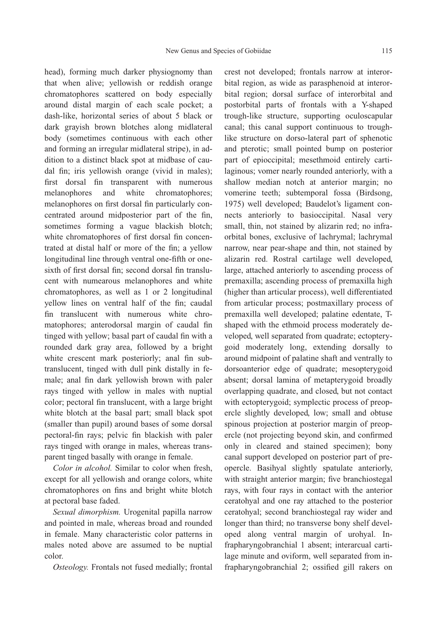head), forming much darker physiognomy than that when alive; yellowish or reddish orange chromatophores scattered on body especially around distal margin of each scale pocket; a dash-like, horizontal series of about 5 black or dark grayish brown blotches along midlateral body (sometimes continuous with each other and forming an irregular midlateral stripe), in addition to a distinct black spot at midbase of caudal fin; iris yellowish orange (vivid in males); first dorsal fin transparent with numerous melanophores and white chromatophores; melanophores on first dorsal fin particularly concentrated around midposterior part of the fin, sometimes forming a vague blackish blotch; white chromatophores of first dorsal fin concentrated at distal half or more of the fin; a yellow longitudinal line through ventral one-fifth or onesixth of first dorsal fin; second dorsal fin translucent with numearous melanophores and white chromatophores, as well as 1 or 2 longitudinal yellow lines on ventral half of the fin; caudal fin translucent with numerous white chromatophores; anterodorsal margin of caudal fin tinged with yellow; basal part of caudal fin with a rounded dark gray area, followed by a bright white crescent mark posteriorly; anal fin subtranslucent, tinged with dull pink distally in female; anal fin dark yellowish brown with paler rays tinged with yellow in males with nuptial color; pectoral fin translucent, with a large bright white blotch at the basal part; small black spot (smaller than pupil) around bases of some dorsal pectoral-fin rays; pelvic fin blackish with paler rays tinged with orange in males, whereas transparent tinged basally with orange in female.

*Color in alcohol.* Similar to color when fresh, except for all yellowish and orange colors, white chromatophores on fins and bright white blotch at pectoral base faded.

*Sexual dimorphism.* Urogenital papilla narrow and pointed in male, whereas broad and rounded in female. Many characteristic color patterns in males noted above are assumed to be nuptial color.

*Osteology.* Frontals not fused medially; frontal

crest not developed; frontals narrow at interorbital region, as wide as parasphenoid at interorbital region; dorsal surface of interorbital and postorbital parts of frontals with a Y-shaped trough-like structure, supporting oculoscapular canal; this canal support continuous to troughlike structure on dorso-lateral part of sphenotic and pterotic; small pointed bump on posterior part of epioccipital; mesethmoid entirely cartilaginous; vomer nearly rounded anteriorly, with a shallow median notch at anterior margin; no vomerine teeth; subtemporal fossa (Birdsong, 1975) well developed; Baudelot's ligament connects anteriorly to basioccipital. Nasal very small, thin, not stained by alizarin red; no infraorbital bones, exclusive of lachrymal; lachrymal narrow, near pear-shape and thin, not stained by alizarin red. Rostral cartilage well developed, large, attached anteriorly to ascending process of premaxilla; ascending process of premaxilla high (higher than articular process), well differentiated from articular process; postmaxillary process of premaxilla well developed; palatine edentate, Tshaped with the ethmoid process moderately developed, well separated from quadrate; ectopterygoid moderately long, extending dorsally to around midpoint of palatine shaft and ventrally to dorsoanterior edge of quadrate; mesopterygoid absent; dorsal lamina of metapterygoid broadly overlapping quadrate, and closed, but not contact with ectopterygoid; symplectic process of preopercle slightly developed, low; small and obtuse spinous projection at posterior margin of preopercle (not projecting beyond skin, and confirmed only in cleared and stained specimen); bony canal support developed on posterior part of preopercle. Basihyal slightly spatulate anteriorly, with straight anterior margin; five branchiostegal rays, with four rays in contact with the anterior ceratohyal and one ray attached to the posterior ceratohyal; second branchiostegal ray wider and longer than third; no transverse bony shelf developed along ventral margin of urohyal. Infrapharyngobranchial 1 absent; interarcual cartilage minute and oviform, well separated from infrapharyngobranchial 2; ossified gill rakers on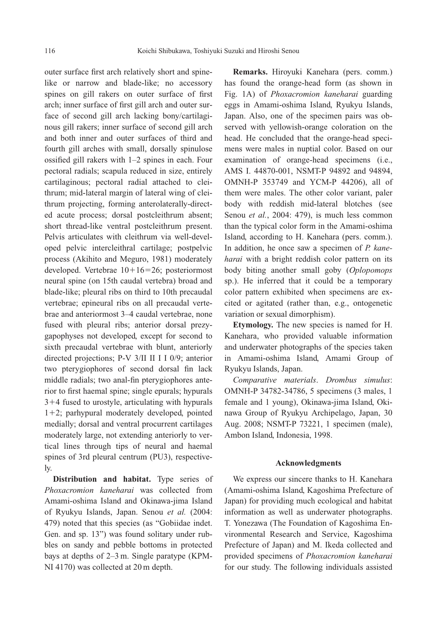outer surface first arch relatively short and spinelike or narrow and blade-like; no accessory spines on gill rakers on outer surface of first arch; inner surface of first gill arch and outer surface of second gill arch lacking bony/cartilaginous gill rakers; inner surface of second gill arch and both inner and outer surfaces of third and fourth gill arches with small, dorsally spinulose ossified gill rakers with 1–2 spines in each. Four pectoral radials; scapula reduced in size, entirely cartilaginous; pectoral radial attached to cleithrum; mid-lateral margin of lateral wing of cleithrum projecting, forming anterolaterally-directed acute process; dorsal postcleithrum absent; short thread-like ventral postcleithrum present. Pelvis articulates with cleithrum via well-developed pelvic intercleithral cartilage; postpelvic process (Akihito and Meguro, 1981) moderately developed. Vertebrae  $10+16=26$ ; posteriormost neural spine (on 15th caudal vertebra) broad and blade-like; pleural ribs on third to 10th precaudal vertebrae; epineural ribs on all precaudal vertebrae and anteriormost 3–4 caudal vertebrae, none fused with pleural ribs; anterior dorsal prezygapophyses not developed, except for second to sixth precaudal vertebrae with blunt, anteriorly directed projections; P-V 3/II II I I 0/9; anterior two pterygiophores of second dorsal fin lack middle radials; two anal-fin pterygiophores anterior to first haemal spine; single epurals; hypurals  $3+4$  fused to urostyle, articulating with hypurals  $1+2$ ; parhypural moderately developed, pointed medially; dorsal and ventral procurrent cartilages moderately large, not extending anteriorly to vertical lines through tips of neural and haemal spines of 3rd pleural centrum (PU3), respectively.

**Distribution and habitat.** Type series of *Phoxacromion kaneharai* was collected from Amami-oshima Island and Okinawa-jima Island of Ryukyu Islands, Japan. Senou *et al.* (2004: 479) noted that this species (as "Gobiidae indet. Gen. and sp. 13") was found solitary under rubbles on sandy and pebble bottoms in protected bays at depths of 2–3 m. Single paratype (KPM-NI 4170) was collected at 20 m depth.

**Remarks.** Hiroyuki Kanehara (pers. comm.) has found the orange-head form (as shown in Fig. 1A) of *Phoxacromion kaneharai* guarding eggs in Amami-oshima Island, Ryukyu Islands, Japan. Also, one of the specimen pairs was observed with yellowish-orange coloration on the head. He concluded that the orange-head specimens were males in nuptial color. Based on our examination of orange-head specimens (i.e., AMS I. 44870-001, NSMT-P 94892 and 94894, OMNH-P 353749 and YCM-P 44206), all of them were males. The other color variant, paler body with reddish mid-lateral blotches (see Senou *et al.*, 2004: 479), is much less common than the typical color form in the Amami-oshima Island, according to H. Kanehara (pers. comm.). In addition, he once saw a specimen of *P. kaneharai* with a bright reddish color pattern on its body biting another small goby (*Oplopomops* sp.). He inferred that it could be a temporary color pattern exhibited when specimens are excited or agitated (rather than, e.g., ontogenetic variation or sexual dimorphism).

**Etymology.** The new species is named for H. Kanehara, who provided valuable information and underwater photographs of the species taken in Amami-oshima Island, Amami Group of Ryukyu Islands, Japan.

*Comparative materials*. *Drombus simulus*: OMNH-P 34782-34786, 5 specimens (3 males, 1 female and 1 young), Okinawa-jima Island, Okinawa Group of Ryukyu Archipelago, Japan, 30 Aug. 2008; NSMT-P 73221, 1 specimen (male), Ambon Island, Indonesia, 1998.

## **Acknowledgments**

We express our sincere thanks to H. Kanehara (Amami-oshima Island, Kagoshima Prefecture of Japan) for providing much ecological and habitat information as well as underwater photographs. T. Yonezawa (The Foundation of Kagoshima Environmental Research and Service, Kagoshima Prefecture of Japan) and M. Ikeda collected and provided specimens of *Phoxacromion kaneharai* for our study. The following individuals assisted